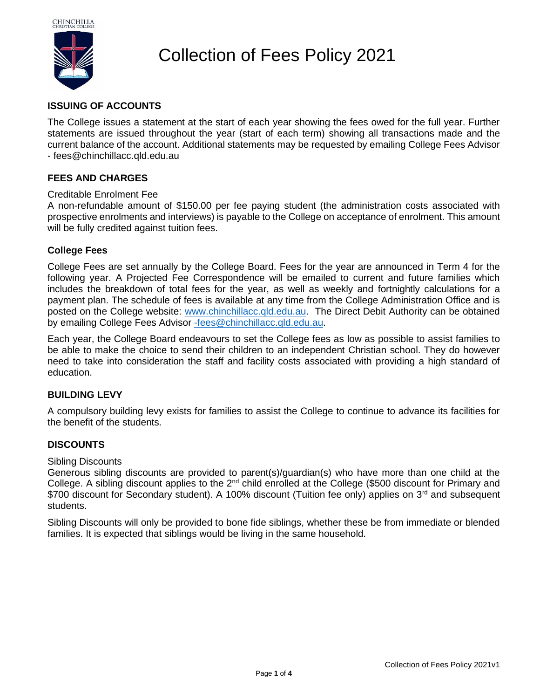

# Collection of Fees Policy 2021

# **ISSUING OF ACCOUNTS**

The College issues a statement at the start of each year showing the fees owed for the full year. Further statements are issued throughout the year (start of each term) showing all transactions made and the current balance of the account. Additional statements may be requested by emailing College Fees Advisor - fees@chinchillacc.qld.edu.au

# **FEES AND CHARGES**

# Creditable Enrolment Fee

A non-refundable amount of \$150.00 per fee paying student (the administration costs associated with prospective enrolments and interviews) is payable to the College on acceptance of enrolment. This amount will be fully credited against tuition fees.

# **College Fees**

College Fees are set annually by the College Board. Fees for the year are announced in Term 4 for the following year. A Projected Fee Correspondence will be emailed to current and future families which includes the breakdown of total fees for the year, as well as weekly and fortnightly calculations for a payment plan. The schedule of fees is available at any time from the College Administration Office and is posted on the College website: [www.chinchillacc.qld.edu.au.](http://www.chinchillacc.qld.edu.au/) The Direct Debit Authority can be obtained by emailing College Fees Advisor [-fees@chinchillacc.qld.edu.au.](mailto:-fees@chinchillacc.qld.edu.au)

Each year, the College Board endeavours to set the College fees as low as possible to assist families to be able to make the choice to send their children to an independent Christian school. They do however need to take into consideration the staff and facility costs associated with providing a high standard of education.

# **BUILDING LEVY**

A compulsory building levy exists for families to assist the College to continue to advance its facilities for the benefit of the students.

# **DISCOUNTS**

# Sibling Discounts

Generous sibling discounts are provided to parent(s)/guardian(s) who have more than one child at the College. A sibling discount applies to the 2nd child enrolled at the College (\$500 discount for Primary and \$700 discount for Secondary student). A 100% discount (Tuition fee only) applies on 3<sup>rd</sup> and subsequent students.

Sibling Discounts will only be provided to bone fide siblings, whether these be from immediate or blended families. It is expected that siblings would be living in the same household.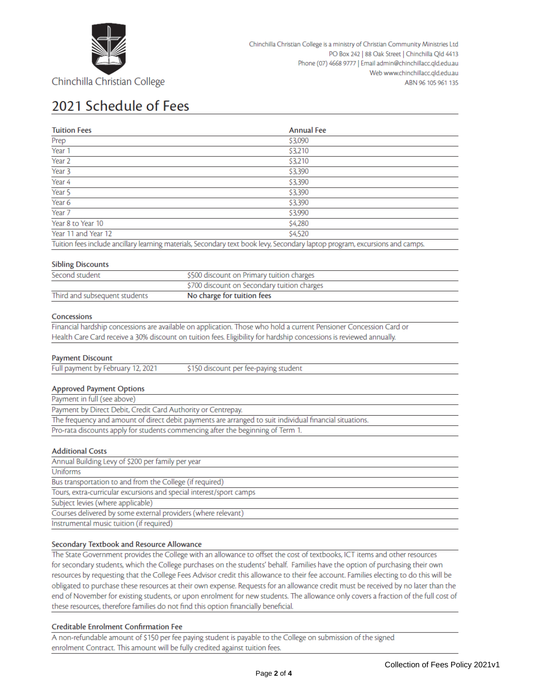

# 2021 Schedule of Fees

| <b>Tuition Fees</b> | <b>Annual Fee</b>                                                                                                            |
|---------------------|------------------------------------------------------------------------------------------------------------------------------|
| Prep                | \$3,090                                                                                                                      |
| Year 1              | \$3,210                                                                                                                      |
| Year 2              | \$3,210                                                                                                                      |
| Year 3              | \$3,390                                                                                                                      |
| Year 4              | \$3,390                                                                                                                      |
| Year 5              | \$3,390                                                                                                                      |
| Year 6              | \$3,390                                                                                                                      |
| Year 7              | \$3,990                                                                                                                      |
| Year 8 to Year 10   | \$4,280                                                                                                                      |
| Year 11 and Year 12 | \$4,520                                                                                                                      |
|                     | Tuition fees include ancillary learning materials, Secondary text book levy, Secondary laptop program, excursions and camps. |

### **Sibling Discounts**

| Second student                | \$500 discount on Primary tuition charges   |
|-------------------------------|---------------------------------------------|
|                               | \$700 discount on Secondary tuition charges |
| Third and subsequent students | No charge for tuition fees                  |

### Concessions

Financial hardship concessions are available on application. Those who hold a current Pensioner Concession Card or Health Care Card receive a 30% discount on tuition fees. Eligibility for hardship concessions is reviewed annually.

### **Payment Discount**

| Full payment by February 12, 2021 | \$150 discount per fee-paying student |  |
|-----------------------------------|---------------------------------------|--|
|                                   |                                       |  |
| Annroved Dayment Ontions          |                                       |  |

#### Approved Payment Options Downant in full (see above)

### **Additional Costs**

| Annual Building Levy of \$200 per family per year                   |  |  |
|---------------------------------------------------------------------|--|--|
| <b>Uniforms</b>                                                     |  |  |
| Bus transportation to and from the College (if required)            |  |  |
| Tours, extra-curricular excursions and special interest/sport camps |  |  |
| Subject levies (where applicable)                                   |  |  |
| Courses delivered by some external providers (where relevant)       |  |  |
| Instrumental music tuition (if required)                            |  |  |
|                                                                     |  |  |

### Secondary Textbook and Resource Allowance

The State Government provides the College with an allowance to offset the cost of textbooks, ICT items and other resources for secondary students, which the College purchases on the students' behalf. Families have the option of purchasing their own resources by requesting that the College Fees Advisor credit this allowance to their fee account. Families electing to do this will be obligated to purchase these resources at their own expense. Requests for an allowance credit must be received by no later than the end of November for existing students, or upon enrolment for new students. The allowance only covers a fraction of the full cost of these resources, therefore families do not find this option financially beneficial.

### Creditable Enrolment Confirmation Fee

A non-refundable amount of \$150 per fee paying student is payable to the College on submission of the signed enrolment Contract. This amount will be fully credited against tuition fees.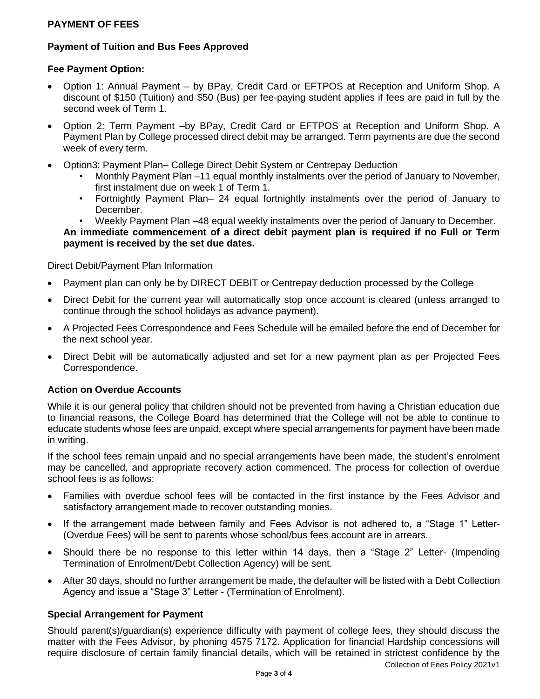# **PAYMENT OF FEES**

# **Payment of Tuition and Bus Fees Approved**

# **Fee Payment Option:**

- Option 1: Annual Payment by BPay, Credit Card or EFTPOS at Reception and Uniform Shop. A discount of \$150 (Tuition) and \$50 (Bus) per fee-paying student applies if fees are paid in full by the second week of Term 1.
- Option 2: Term Payment –by BPay, Credit Card or EFTPOS at Reception and Uniform Shop. A Payment Plan by College processed direct debit may be arranged. Term payments are due the second week of every term.
- Option3: Payment Plan– College Direct Debit System or Centrepay Deduction
	- Monthly Payment Plan –11 equal monthly instalments over the period of January to November, first instalment due on week 1 of Term 1.
	- Fortnightly Payment Plan– 24 equal fortnightly instalments over the period of January to December.
	- Weekly Payment Plan –48 equal weekly instalments over the period of January to December.

**An immediate commencement of a direct debit payment plan is required if no Full or Term payment is received by the set due dates.** 

Direct Debit/Payment Plan Information

- Payment plan can only be by DIRECT DEBIT or Centrepay deduction processed by the College
- Direct Debit for the current year will automatically stop once account is cleared (unless arranged to continue through the school holidays as advance payment).
- A Projected Fees Correspondence and Fees Schedule will be emailed before the end of December for the next school year.
- Direct Debit will be automatically adjusted and set for a new payment plan as per Projected Fees Correspondence.

# **Action on Overdue Accounts**

While it is our general policy that children should not be prevented from having a Christian education due to financial reasons, the College Board has determined that the College will not be able to continue to educate students whose fees are unpaid, except where special arrangements for payment have been made in writing.

If the school fees remain unpaid and no special arrangements have been made, the student's enrolment may be cancelled, and appropriate recovery action commenced. The process for collection of overdue school fees is as follows:

- Families with overdue school fees will be contacted in the first instance by the Fees Advisor and satisfactory arrangement made to recover outstanding monies.
- If the arrangement made between family and Fees Advisor is not adhered to, a "Stage 1" Letter-(Overdue Fees) will be sent to parents whose school/bus fees account are in arrears.
- Should there be no response to this letter within 14 days, then a "Stage 2" Letter- (Impending Termination of Enrolment/Debt Collection Agency) will be sent.
- After 30 days, should no further arrangement be made, the defaulter will be listed with a Debt Collection Agency and issue a "Stage 3" Letter - (Termination of Enrolment).

# **Special Arrangement for Payment**

Should parent(s)/guardian(s) experience difficulty with payment of college fees, they should discuss the matter with the Fees Advisor, by phoning 4575 7172. Application for financial Hardship concessions will require disclosure of certain family financial details, which will be retained in strictest confidence by the